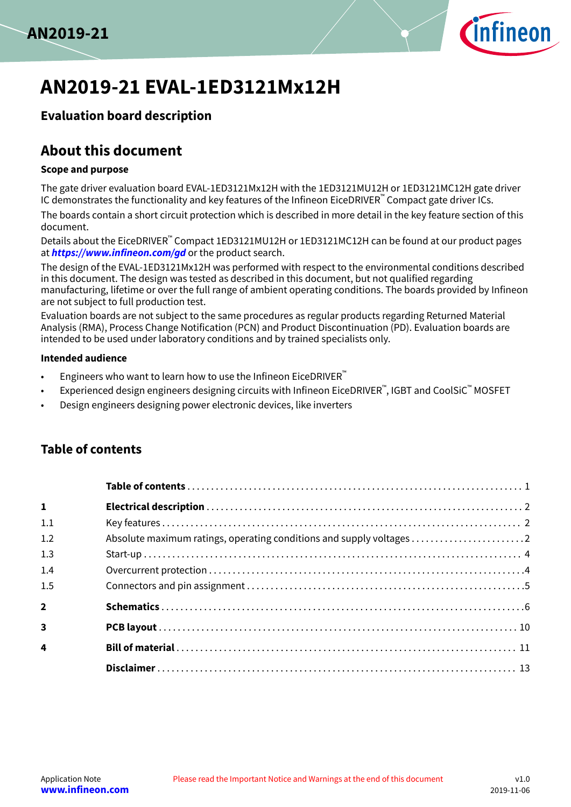



# **AN2019-21 EVAL-1ED3121Mx12H**

## **Evaluation board description**

# **About this document**

### **Scope and purpose**

The gate driver evaluation board EVAL-1ED3121Mx12H with the 1ED3121MU12H or 1ED3121MC12H gate driver IC demonstrates the functionality and key features of the Infineon EiceDRIVER™ Compact gate driver ICs.

The boards contain a short circuit protection which is described in more detail in the key feature section of this document.

Details about the EiceDRIVER™ Compact 1ED3121MU12H or 1ED3121MC12H can be found at our product pages at **<https://www.infineon.com/gd>** or the product search.

The design of the EVAL-1ED3121Mx12H was performed with respect to the environmental conditions described in this document. The design was tested as described in this document, but not qualified regarding manufacturing, lifetime or over the full range of ambient operating conditions. The boards provided by Infineon are not subject to full production test.

Evaluation boards are not subject to the same procedures as regular products regarding Returned Material Analysis (RMA), Process Change Notification (PCN) and Product Discontinuation (PD). Evaluation boards are intended to be used under laboratory conditions and by trained specialists only.

### **Intended audience**

- Engineers who want to learn how to use the Infineon EiceDRIVER<sup>™</sup>
- Experienced design engineers designing circuits with Infineon EiceDRIVER™, IGBT and CoolSiC™ <code>MOSFET</code>
- Design engineers designing power electronic devices, like inverters

## **Table of contents**

| $\mathbf{1}$            |  |
|-------------------------|--|
| 1.1                     |  |
| 1.2                     |  |
| 1.3                     |  |
| 1.4                     |  |
| 1.5                     |  |
| $\overline{2}$          |  |
| $\overline{\mathbf{3}}$ |  |
| $\overline{\mathbf{4}}$ |  |
|                         |  |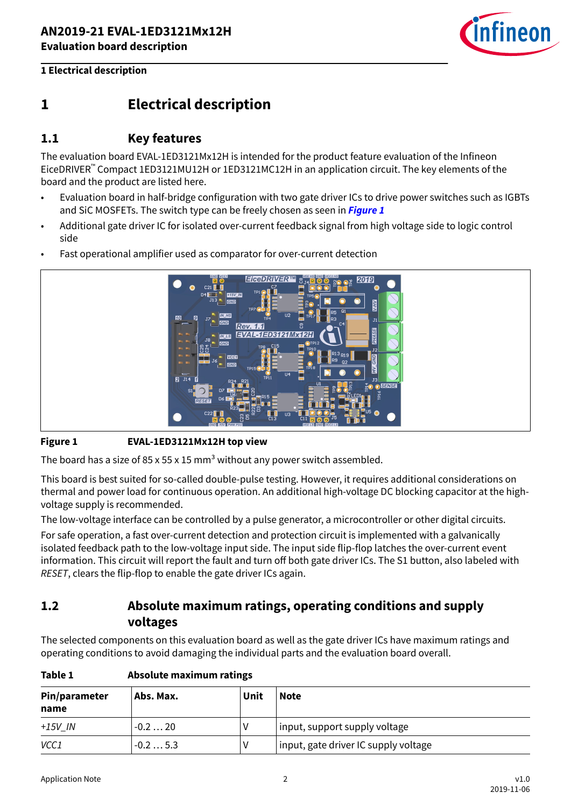

## <span id="page-1-0"></span>**1 Electrical description**

### **1.1 Key features**

The evaluation board EVAL-1ED3121Mx12H is intended for the product feature evaluation of the Infineon EiceDRIVER™ Compact 1ED3121MU12H or 1ED3121MC12H in an application circuit. The key elements of the board and the product are listed here.

- Evaluation board in half-bridge configuration with two gate driver ICs to drive power switches such as IGBTs and SiC MOSFETs. The switch type can be freely chosen as seen in **Figure 1**
- Additional gate driver IC for isolated over-current feedback signal from high voltage side to logic control side
- Fast operational amplifier used as comparator for over-current detection



### **Figure 1 EVAL-1ED3121Mx12H top view**

The board has a size of 85 x 55 x 15 mm<sup>3</sup> without any power switch assembled.

This board is best suited for so-called double-pulse testing. However, it requires additional considerations on thermal and power load for continuous operation. An additional high-voltage DC blocking capacitor at the highvoltage supply is recommended.

The low-voltage interface can be controlled by a pulse generator, a microcontroller or other digital circuits.

For safe operation, a fast over-current detection and protection circuit is implemented with a galvanically isolated feedback path to the low-voltage input side. The input side flip-flop latches the over-current event information. This circuit will report the fault and turn off both gate driver ICs. The S1 button, also labeled with RESET, clears the flip-flop to enable the gate driver ICs again.

## **1.2 Absolute maximum ratings, operating conditions and supply voltages**

The selected components on this evaluation board as well as the gate driver ICs have maximum ratings and operating conditions to avoid damaging the individual parts and the evaluation board overall.

| Table 1 |  | Absolute maximum ratings |  |
|---------|--|--------------------------|--|
|---------|--|--------------------------|--|

| Pin/parameter<br>name | Abs. Max. | Unit | <b>Note</b>                          |
|-----------------------|-----------|------|--------------------------------------|
| $+15V$ IN             | $-0.220$  |      | input, support supply voltage        |
| VCC1                  | $-0.25.3$ |      | input, gate driver IC supply voltage |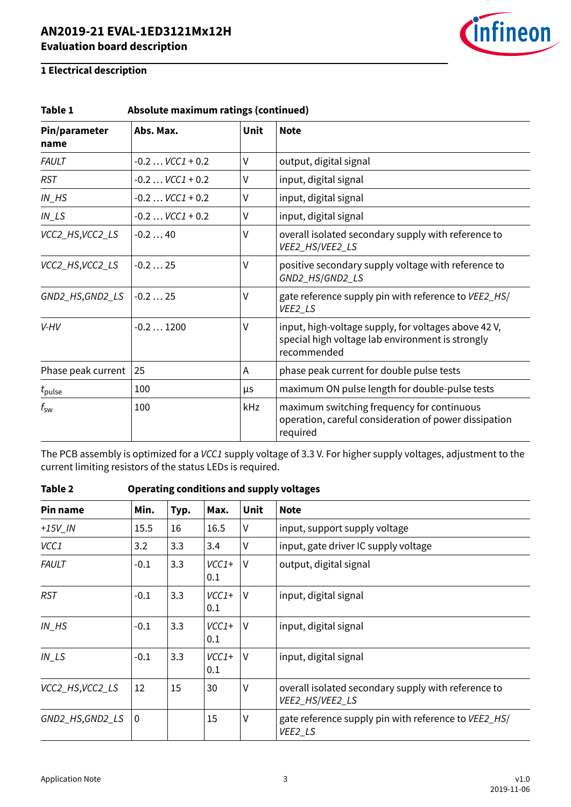

| Absolute maximum ratings (continued)<br>Table 1 |                     |             |                                                                                                                         |  |  |
|-------------------------------------------------|---------------------|-------------|-------------------------------------------------------------------------------------------------------------------------|--|--|
| Pin/parameter<br>name                           | Abs. Max.           | <b>Unit</b> | <b>Note</b>                                                                                                             |  |  |
| <b>FAULT</b>                                    | $-0.2$ $VCC1 + 0.2$ | V           | output, digital signal                                                                                                  |  |  |
| <b>RST</b>                                      | $-0.2$ $VCC1 + 0.2$ | V           | input, digital signal                                                                                                   |  |  |
| $IN$ <sub><math>H</math></sub> $S$              | $-0.2$ $VCC1 + 0.2$ | V           | input, digital signal                                                                                                   |  |  |
| $IN$ <sub>LS</sub>                              | $-0.2$ $VCC1 + 0.2$ | V           | input, digital signal                                                                                                   |  |  |
| VCC2_HS,VCC2_LS                                 | $-0.240$            | V           | overall isolated secondary supply with reference to<br>VEE2_HS/VEE2_LS                                                  |  |  |
| VCC2_HS,VCC2_LS                                 | $-0.225$            | ٧           | positive secondary supply voltage with reference to<br>GND2_HS/GND2_LS                                                  |  |  |
| GND2_HS,GND2_LS                                 | $-0.225$            | ٧           | gate reference supply pin with reference to VEE2_HS/<br>VEE2_LS                                                         |  |  |
| V-HV                                            | $-0.21200$          | ٧           | input, high-voltage supply, for voltages above 42 V,<br>special high voltage lab environment is strongly<br>recommended |  |  |
| Phase peak current                              | 25                  | A           | phase peak current for double pulse tests                                                                               |  |  |
| $t_{\rm pulse}$                                 | 100                 | μs          | maximum ON pulse length for double-pulse tests                                                                          |  |  |
| $t_{\rm sw}$                                    | 100                 | kHz         | maximum switching frequency for continuous<br>operation, careful consideration of power dissipation<br>required         |  |  |

The PCB assembly is optimized for a VCC1 supply voltage of 3.3 V. For higher supply voltages, adjustment to the current limiting resistors of the status LEDs is required.

| Pin name                           | Min.         | Typ. | Max.           | <b>Unit</b> | <b>Note</b>                                                            |
|------------------------------------|--------------|------|----------------|-------------|------------------------------------------------------------------------|
| $+15V$ IN                          | 15.5         | 16   | 16.5           | ٧           | input, support supply voltage                                          |
| VCC1                               | 3.2          | 3.3  | 3.4            | V           | input, gate driver IC supply voltage                                   |
| <b>FAULT</b>                       | $-0.1$       | 3.3  | $VCC1+$<br>0.1 | $\vee$      | output, digital signal                                                 |
| <b>RST</b>                         | $-0.1$       | 3.3  | $VCC1+$<br>0.1 | $\vee$      | input, digital signal                                                  |
| $IN$ <sub><math>H</math></sub> $S$ | $-0.1$       | 3.3  | $VCC1+$<br>0.1 | $\vee$      | input, digital signal                                                  |
| $IN$ <sub>LS</sub>                 | $-0.1$       | 3.3  | $VCC1+$<br>0.1 | $\vee$      | input, digital signal                                                  |
| VCC2_HS, VCC2_LS                   | 12           | 15   | 30             | ٧           | overall isolated secondary supply with reference to<br>VEE2_HS/VEE2_LS |
| GND2_HS,GND2_LS                    | $\mathbf{0}$ |      | 15             | V           | gate reference supply pin with reference to VEE2_HS/<br>VEE2_LS        |

### **Table 2 Operating conditions and supply voltages**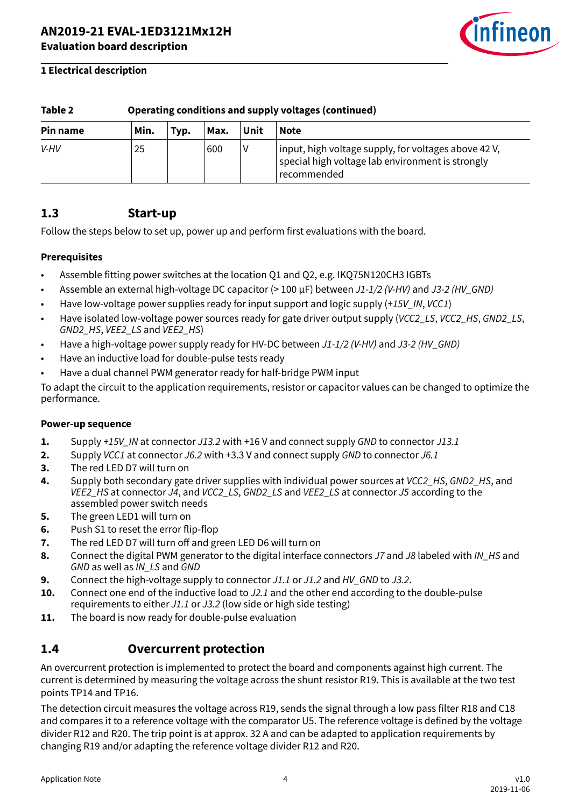

| Table 2<br>Operating conditions and supply voltages (continued) |      |      |      |      |                                                                                                                         |  |
|-----------------------------------------------------------------|------|------|------|------|-------------------------------------------------------------------------------------------------------------------------|--|
| Pin name                                                        | Min. | Typ. | Max. | Unit | <b>Note</b>                                                                                                             |  |
| V-HV                                                            | 25   |      | 600  |      | input, high voltage supply, for voltages above 42 V,<br>special high voltage lab environment is strongly<br>recommended |  |

## <span id="page-3-0"></span>**Table 2 Operating conditions and supply voltages (continued)**

### **1.3 Start-up**

Follow the steps below to set up, power up and perform first evaluations with the board.

### **Prerequisites**

- Assemble fitting power switches at the location Q1 and Q2, e.g. IKQ75N120CH3 IGBTs
- Assemble an external high-voltage DC capacitor (> 100 µF) between J1-1/2 (V-HV) and J3-2 (HV GND)
- Have low-voltage power supplies ready for input support and logic supply (+15V IN, VCC1)
- Have isolated low-voltage power sources ready for gate driver output supply (VCC2\_LS, VCC2\_HS, GND2\_LS, GND2\_HS, VEE2\_LS and VEE2\_HS)
- Have a high-voltage power supply ready for HV-DC between J1-1/2 (V-HV) and J3-2 (HV GND)
- Have an inductive load for double-pulse tests ready
- Have a dual channel PWM generator ready for half-bridge PWM input

To adapt the circuit to the application requirements, resistor or capacitor values can be changed to optimize the performance.

### **Power-up sequence**

- **1.** Supply +15V\_IN at connector J13.2 with +16 V and connect supply GND to connector J13.1
- **2.** Supply VCC1 at connector J6.2 with +3.3 V and connect supply GND to connector J6.1
- **3.** The red LED D7 will turn on
- **4.** Supply both secondary gate driver supplies with individual power sources at *VCC2 HS*, GND2 HS, and VEE2\_HS at connector J4, and VCC2\_LS, GND2\_LS and VEE2\_LS at connector J5 according to the assembled power switch needs
- **5.** The green LED1 will turn on
- **6.** Push S1 to reset the error flip-flop
- **7.** The red LED D7 will turn off and green LED D6 will turn on
- 8. Connect the digital PWM generator to the digital interface connectors J7 and J8 labeled with IN\_HS and GND as well as IN\_LS and GND
- **9.** Connect the high-voltage supply to connector J1.1 or J1.2 and HV\_GND to J3.2.
- **10.** Connect one end of the inductive load to J2.1 and the other end according to the double-pulse requirements to either J1.1 or J3.2 (low side or high side testing)
- **11.** The board is now ready for double-pulse evaluation

### **1.4 Overcurrent protection**

An overcurrent protection is implemented to protect the board and components against high current. The current is determined by measuring the voltage across the shunt resistor R19. This is available at the two test points TP14 and TP16.

The detection circuit measures the voltage across R19, sends the signal through a low pass filter R18 and C18 and compares it to a reference voltage with the comparator U5. The reference voltage is defined by the voltage divider R12 and R20. The trip point is at approx. 32 A and can be adapted to application requirements by changing R19 and/or adapting the reference voltage divider R12 and R20.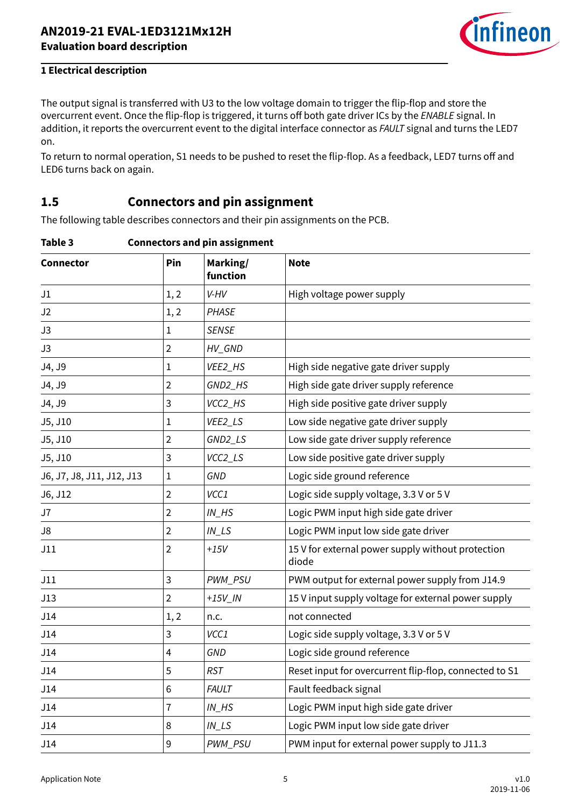

<span id="page-4-0"></span>The output signal is transferred with U3 to the low voltage domain to trigger the flip-flop and store the overcurrent event. Once the flip-flop is triggered, it turns off both gate driver ICs by the ENABLE signal. In addition, it reports the overcurrent event to the digital interface connector as FAULT signal and turns the LED7 on.

To return to normal operation, S1 needs to be pushed to reset the flip-flop. As a feedback, LED7 turns off and LED6 turns back on again.

### **1.5 Connectors and pin assignment**

The following table describes connectors and their pin assignments on the PCB.

**Table 3 Connectors and pin assignment**

| <b>Connector</b>          | Pin            | Marking/<br>function               | <b>Note</b>                                                |
|---------------------------|----------------|------------------------------------|------------------------------------------------------------|
| J1                        | 1, 2           | V-HV                               | High voltage power supply                                  |
| J2                        | 1, 2           | <b>PHASE</b>                       |                                                            |
| J3                        | $\mathbf 1$    | <b>SENSE</b>                       |                                                            |
| J3                        | $\overline{2}$ | HV_GND                             |                                                            |
| J4, J9                    | $\mathbf{1}$   | VEE2_HS                            | High side negative gate driver supply                      |
| J4, J9                    | $\overline{2}$ | GND2_HS                            | High side gate driver supply reference                     |
| J4, J9                    | 3              | VCC2_HS                            | High side positive gate driver supply                      |
| J5, J10                   | $\mathbf{1}$   | VEE2_LS                            | Low side negative gate driver supply                       |
| J5, J10                   | $\overline{2}$ | GND2_LS                            | Low side gate driver supply reference                      |
| J5, J10                   | 3              | VCC2_LS                            | Low side positive gate driver supply                       |
| J6, J7, J8, J11, J12, J13 | $\mathbf{1}$   | <b>GND</b>                         | Logic side ground reference                                |
| J6, J12                   | $\overline{2}$ | VCC1                               | Logic side supply voltage, 3.3 V or 5 V                    |
| J7                        | $\overline{2}$ | $IN$ <sub>_HS</sub>                | Logic PWM input high side gate driver                      |
| J8                        | $\overline{2}$ | $IN$ <sub>_<math>LS</math></sub>   | Logic PWM input low side gate driver                       |
| J11                       | $\overline{2}$ | $+15V$                             | 15 V for external power supply without protection<br>diode |
| J11                       | 3              | PWM_PSU                            | PWM output for external power supply from J14.9            |
| J13                       | $\overline{2}$ | $+15V$ <sub>IN</sub>               | 15 V input supply voltage for external power supply        |
| J14                       | 1, 2           | n.c.                               | not connected                                              |
| J14                       | 3              | VCC1                               | Logic side supply voltage, 3.3 V or 5 V                    |
| J14                       | 4              | GND                                | Logic side ground reference                                |
| J14                       | 5              | <b>RST</b>                         | Reset input for overcurrent flip-flop, connected to S1     |
| J14                       | 6              | <b>FAULT</b>                       | Fault feedback signal                                      |
| J14                       | $\overline{1}$ | $IN$ <sub><math>H</math></sub> $S$ | Logic PWM input high side gate driver                      |
| J14                       | 8              | $IN$ <sub>LS</sub>                 | Logic PWM input low side gate driver                       |
| J14                       | 9              | PWM_PSU                            | PWM input for external power supply to J11.3               |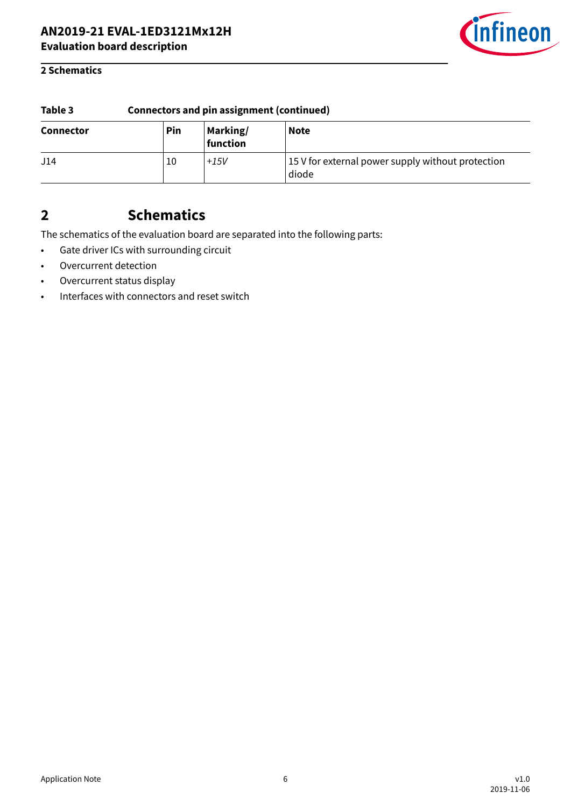

### <span id="page-5-0"></span>**2 Schematics**

| Table 3          | <b>Connectors and pin assignment (continued)</b> |                      |                                                            |  |
|------------------|--------------------------------------------------|----------------------|------------------------------------------------------------|--|
| <b>Connector</b> | Pin                                              | Marking/<br>function | <b>Note</b>                                                |  |
| J14              | 10                                               | $+15V$               | 15 V for external power supply without protection<br>diode |  |

## **2 Schematics**

The schematics of the evaluation board are separated into the following parts:

- Gate driver ICs with surrounding circuit
- Overcurrent detection
- Overcurrent status display
- Interfaces with connectors and reset switch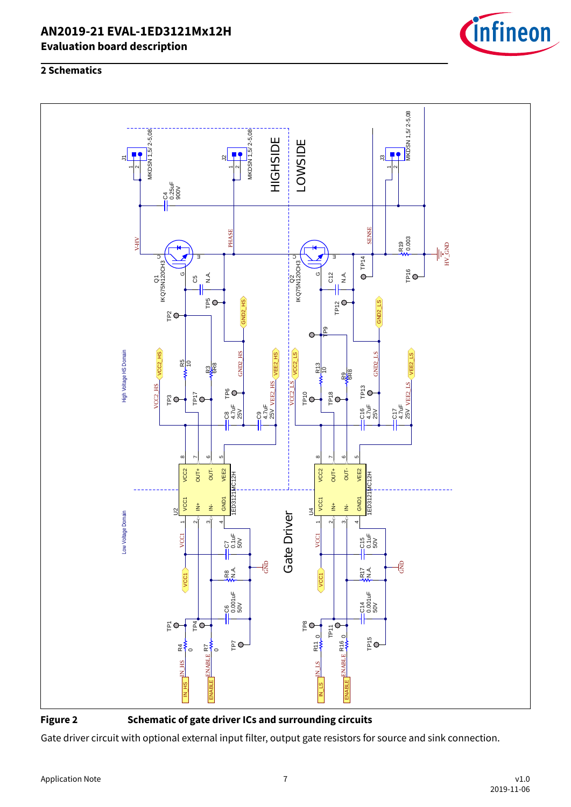





**Figure 2 Schematic of gate driver ICs and surrounding circuits**

Gate driver circuit with optional external input filter, output gate resistors for source and sink connection.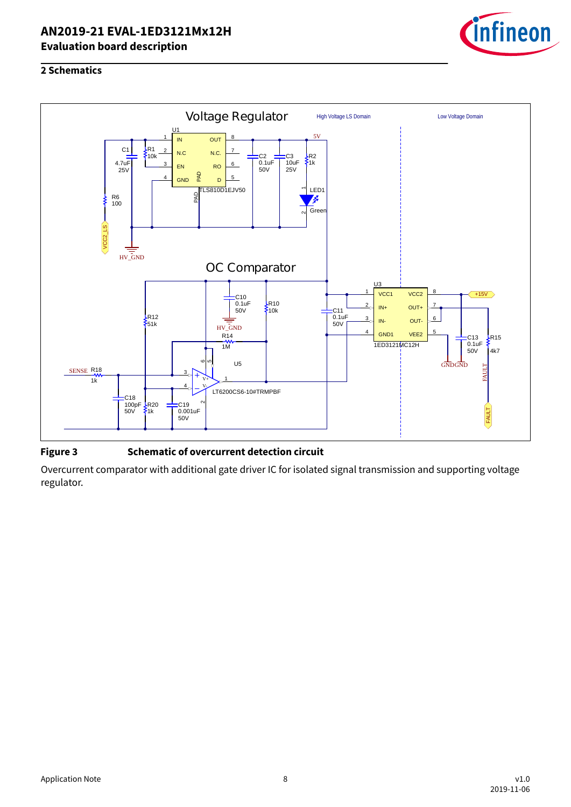

### **2 Schematics**



### **Figure 3 Schematic of overcurrent detection circuit**

Overcurrent comparator with additional gate driver IC for isolated signal transmission and supporting voltage regulator.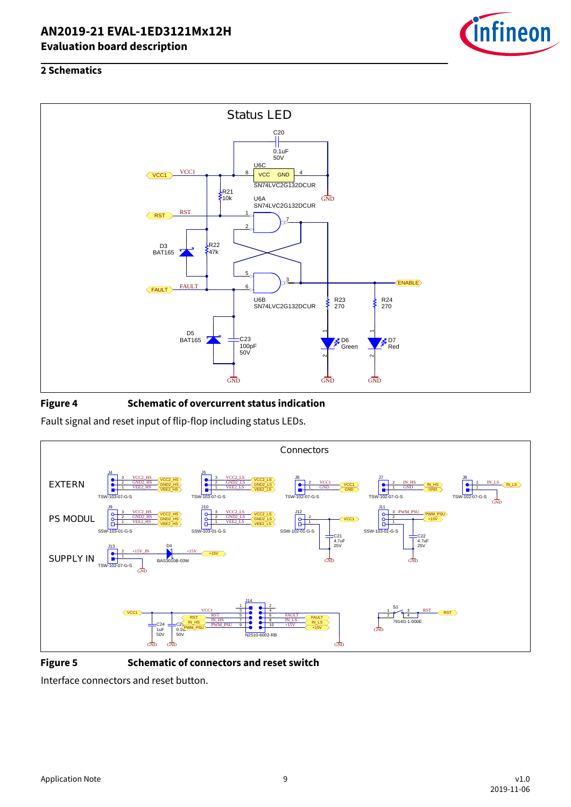

### **2 Schematics**



### **Figure 4 Schematic of overcurrent status indication**

Fault signal and reset input of flip-flop including status LEDs.



**Figure 5 Schematic of connectors and reset switch**

Interface connectors and reset button.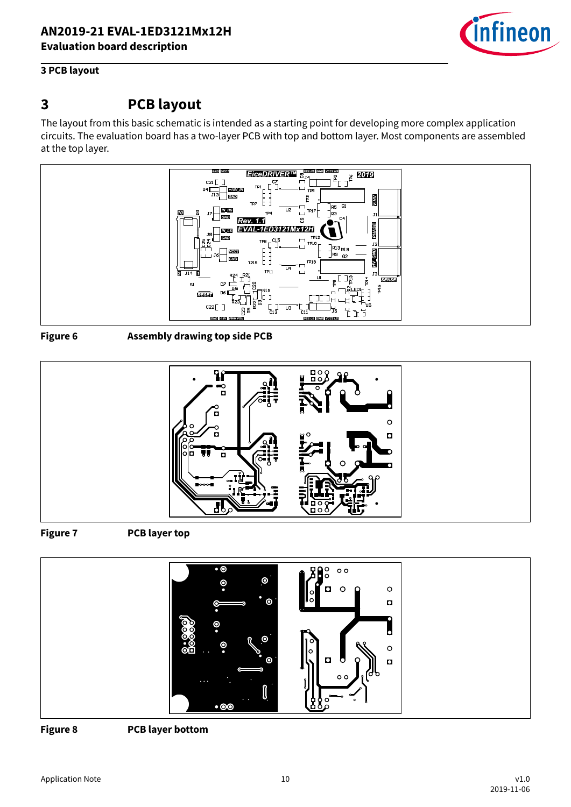

### <span id="page-9-0"></span>**3 PCB layout**

## **3 PCB layout**

The layout from this basic schematic is intended as a starting point for developing more complex application circuits. The evaluation board has a two-layer PCB with top and bottom layer. Most components are assembled at the top layer.



**Figure 6 Assembly drawing top side PCB**



**Figure 7 PCB layer top**



**Figure 8 PCB layer bottom**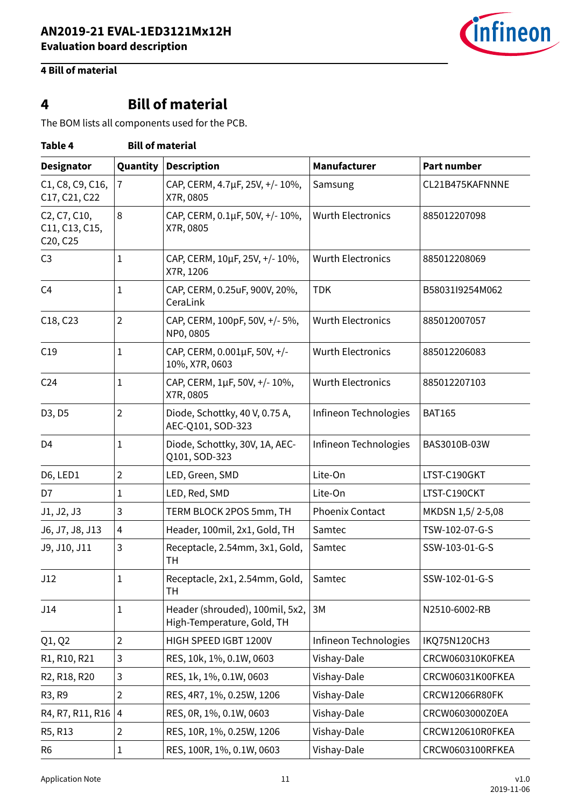

## <span id="page-10-0"></span>**4 Bill of material**

# **4 Bill of material**

The BOM lists all components used for the PCB.

| Table 4                                                                                                    |                | <b>Bill of material</b>                                       |                          |                    |  |  |  |
|------------------------------------------------------------------------------------------------------------|----------------|---------------------------------------------------------------|--------------------------|--------------------|--|--|--|
| <b>Designator</b>                                                                                          | Quantity       | <b>Description</b>                                            | Manufacturer             | <b>Part number</b> |  |  |  |
| C1, C8, C9, C16,<br>C17, C21, C22                                                                          | $\overline{7}$ | CAP, CERM, 4.7µF, 25V, +/-10%,<br>X7R, 0805                   | Samsung                  | CL21B475KAFNNNE    |  |  |  |
| C <sub>2</sub> , C <sub>7</sub> , C <sub>10</sub> ,<br>C11, C13, C15,<br>C <sub>20</sub> , C <sub>25</sub> | 8              | CAP, CERM, 0.1µF, 50V, +/-10%,<br>X7R, 0805                   | <b>Wurth Electronics</b> | 885012207098       |  |  |  |
| C <sub>3</sub>                                                                                             | 1              | CAP, CERM, 10µF, 25V, +/-10%,<br>X7R, 1206                    | <b>Wurth Electronics</b> | 885012208069       |  |  |  |
| C <sub>4</sub>                                                                                             | 1              | CAP, CERM, 0.25uF, 900V, 20%,<br>CeraLink                     | <b>TDK</b>               | B58031l9254M062    |  |  |  |
| C18, C23                                                                                                   | $\overline{2}$ | CAP, CERM, 100pF, 50V, +/- 5%,<br>NP0, 0805                   | <b>Wurth Electronics</b> | 885012007057       |  |  |  |
| C19                                                                                                        | $\mathbf{1}$   | CAP, CERM, 0.001µF, 50V, +/-<br>10%, X7R, 0603                | <b>Wurth Electronics</b> | 885012206083       |  |  |  |
| C <sub>24</sub>                                                                                            | 1              | CAP, CERM, 1µF, 50V, +/-10%,<br>X7R, 0805                     | <b>Wurth Electronics</b> | 885012207103       |  |  |  |
| D3, D5                                                                                                     | $\overline{2}$ | Diode, Schottky, 40 V, 0.75 A,<br>AEC-Q101, SOD-323           | Infineon Technologies    | <b>BAT165</b>      |  |  |  |
| D <sub>4</sub>                                                                                             | 1              | Diode, Schottky, 30V, 1A, AEC-<br>Q101, SOD-323               | Infineon Technologies    | BAS3010B-03W       |  |  |  |
| D6, LED1                                                                                                   | $\overline{2}$ | LED, Green, SMD                                               | Lite-On                  | LTST-C190GKT       |  |  |  |
| D7                                                                                                         | 1              | LED, Red, SMD                                                 | Lite-On                  | LTST-C190CKT       |  |  |  |
| J1, J2, J3                                                                                                 | 3              | TERM BLOCK 2POS 5mm, TH                                       | <b>Phoenix Contact</b>   | MKDSN 1,5/2-5,08   |  |  |  |
| J6, J7, J8, J13                                                                                            | 4              | Header, 100mil, 2x1, Gold, TH                                 | Samtec                   | TSW-102-07-G-S     |  |  |  |
| J9, J10, J11                                                                                               | 3              | Receptacle, 2.54mm, 3x1, Gold,<br><b>TH</b>                   | Samtec                   | SSW-103-01-G-S     |  |  |  |
| J12                                                                                                        | 1              | Receptacle, 2x1, 2.54mm, Gold,<br>TН                          | Samtec                   | SSW-102-01-G-S     |  |  |  |
| J14                                                                                                        | 1              | Header (shrouded), 100mil, 5x2,<br>High-Temperature, Gold, TH | 3M                       | N2510-6002-RB      |  |  |  |
| Q1, Q2                                                                                                     | $\overline{2}$ | HIGH SPEED IGBT 1200V                                         | Infineon Technologies    | IKQ75N120CH3       |  |  |  |
| R1, R10, R21                                                                                               | 3              | RES, 10k, 1%, 0.1W, 0603                                      | Vishay-Dale              | CRCW060310K0FKEA   |  |  |  |
| R2, R18, R20                                                                                               | 3              | RES, 1k, 1%, 0.1W, 0603                                       | Vishay-Dale              | CRCW06031K00FKEA   |  |  |  |
| R3, R9                                                                                                     | $\overline{2}$ | RES, 4R7, 1%, 0.25W, 1206                                     | Vishay-Dale              | CRCW12066R80FK     |  |  |  |
| R4, R7, R11, R16                                                                                           | 4              | RES, 0R, 1%, 0.1W, 0603                                       | Vishay-Dale              | CRCW0603000Z0EA    |  |  |  |
| R5, R13                                                                                                    | 2              | RES, 10R, 1%, 0.25W, 1206                                     | Vishay-Dale              | CRCW120610R0FKEA   |  |  |  |
| R <sub>6</sub>                                                                                             | 1              | RES, 100R, 1%, 0.1W, 0603                                     | Vishay-Dale              | CRCW0603100RFKEA   |  |  |  |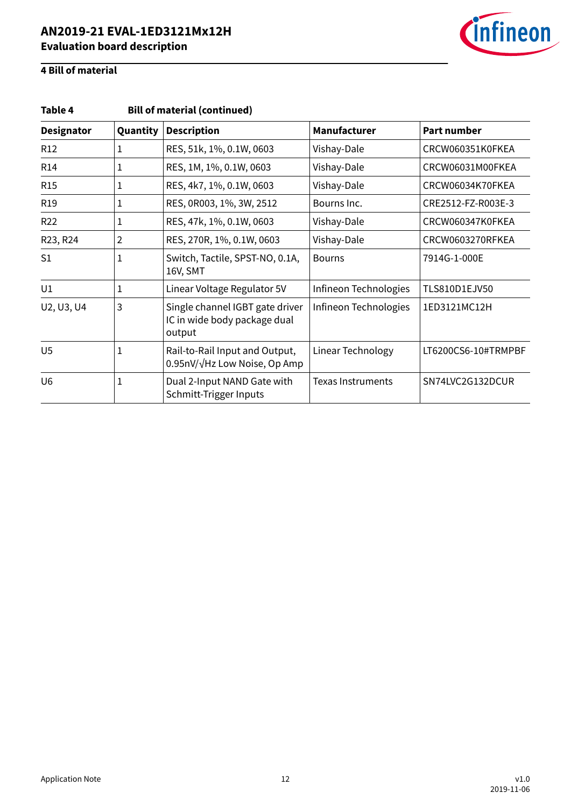

## **4 Bill of material**

| Table 4           |                |                                                                           |                          |                     |  |
|-------------------|----------------|---------------------------------------------------------------------------|--------------------------|---------------------|--|
| <b>Designator</b> | Quantity       | <b>Description</b>                                                        | Manufacturer             | <b>Part number</b>  |  |
| R <sub>12</sub>   | 1              | RES, 51k, 1%, 0.1W, 0603                                                  | Vishay-Dale              | CRCW060351K0FKEA    |  |
| R <sub>14</sub>   | 1              | RES, 1M, 1%, 0.1W, 0603                                                   | Vishay-Dale              | CRCW06031M00FKEA    |  |
| <b>R15</b>        | 1              | RES, 4k7, 1%, 0.1W, 0603                                                  | Vishay-Dale              | CRCW06034K70FKEA    |  |
| R <sub>19</sub>   | 1              | RES, 0R003, 1%, 3W, 2512                                                  | Bourns Inc.              | CRE2512-FZ-R003E-3  |  |
| R <sub>22</sub>   | 1              | RES, 47k, 1%, 0.1W, 0603                                                  | Vishay-Dale              | CRCW060347K0FKEA    |  |
| R23, R24          | $\overline{2}$ | RES, 270R, 1%, 0.1W, 0603                                                 | Vishay-Dale              | CRCW0603270RFKEA    |  |
| S <sub>1</sub>    | 1              | Switch, Tactile, SPST-NO, 0.1A,<br>16V, SMT                               | <b>Bourns</b>            | 7914G-1-000E        |  |
| U1                | 1              | Linear Voltage Regulator 5V                                               | Infineon Technologies    | TLS810D1EJV50       |  |
| U2, U3, U4        | 3              | Single channel IGBT gate driver<br>IC in wide body package dual<br>output | Infineon Technologies    | 1ED3121MC12H        |  |
| U <sub>5</sub>    | $\mathbf{1}$   | Rail-to-Rail Input and Output,<br>0.95nV/√Hz Low Noise, Op Amp            | Linear Technology        | LT6200CS6-10#TRMPBF |  |
| U <sub>6</sub>    | 1              | Dual 2-Input NAND Gate with<br>Schmitt-Trigger Inputs                     | <b>Texas Instruments</b> | SN74LVC2G132DCUR    |  |